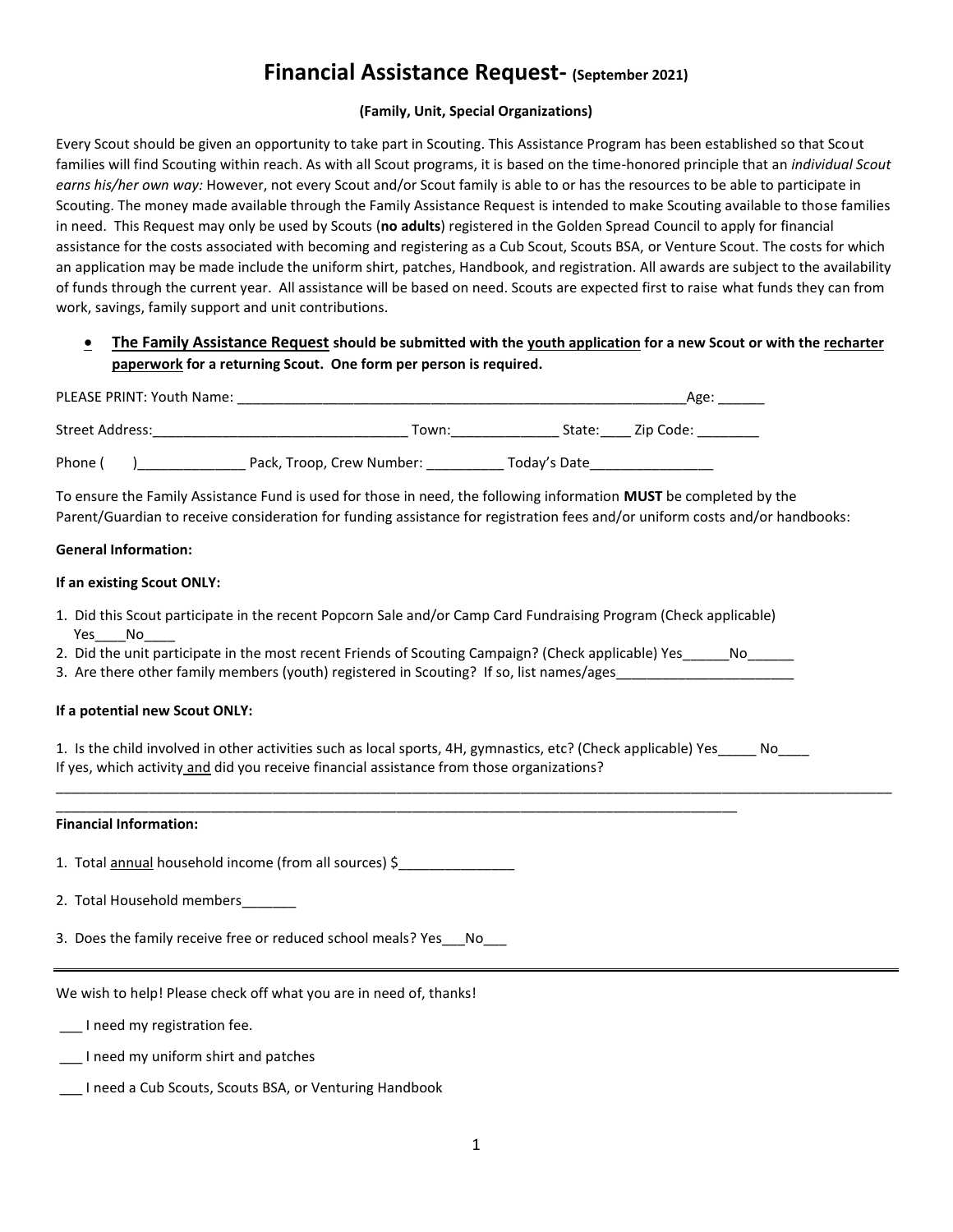# **Financial Assistance Request- (September 2021)**

### **(Family, Unit, Special Organizations)**

Every Scout should be given an opportunity to take part in Scouting. This Assistance Program has been established so that Scout families will find Scouting within reach. As with all Scout programs, it is based on the time-honored principle that an *individual Scout earns his/her own way:* However, not every Scout and/or Scout family is able to or has the resources to be able to participate in Scouting. The money made available through the Family Assistance Request is intended to make Scouting available to those families in need. This Request may only be used by Scouts (**no adults**) registered in the Golden Spread Council to apply for financial assistance for the costs associated with becoming and registering as a Cub Scout, Scouts BSA, or Venture Scout. The costs for which an application may be made include the uniform shirt, patches, Handbook, and registration. All awards are subject to the availability of funds through the current year. All assistance will be based on need. Scouts are expected first to raise what funds they can from work, savings, family support and unit contributions.

## • **The Family Assistance Request should be submitted with the youth application for a new Scout or with the recharter paperwork for a returning Scout. One form per person is required.**

| <b>PLEASE PRINT: Youth Name:</b> |                           |              | Age:      |  |
|----------------------------------|---------------------------|--------------|-----------|--|
| Street Address:                  | Town:                     | State:       | Zip Code: |  |
| Phone                            | Pack, Troop, Crew Number: | Today's Date |           |  |

To ensure the Family Assistance Fund is used for those in need, the following information **MUST** be completed by the Parent/Guardian to receive consideration for funding assistance for registration fees and/or uniform costs and/or handbooks:

#### **General Information:**

#### **If an existing Scout ONLY:**

- 1. Did this Scout participate in the recent Popcorn Sale and/or Camp Card Fundraising Program (Check applicable) Yes\_\_\_\_No
- 2. Did the unit participate in the most recent Friends of Scouting Campaign? (Check applicable) Yes \_\_\_\_\_\_No
- 3. Are there other family members (youth) registered in Scouting? If so, list names/ages

\_\_\_\_\_\_\_\_\_\_\_\_\_\_\_\_\_\_\_\_\_\_\_\_\_\_\_\_\_\_\_\_\_\_\_\_\_\_\_\_\_\_\_\_\_\_\_\_\_\_\_\_\_\_\_\_\_\_\_\_\_\_\_\_\_\_\_\_\_\_\_\_\_\_\_\_\_\_\_\_\_\_\_\_\_\_\_\_

#### **If a potential new Scout ONLY:**

1. Is the child involved in other activities such as local sports, 4H, gymnastics, etc? (Check applicable) Yes\_\_\_\_\_ No\_\_\_\_ If yes, which activity and did you receive financial assistance from those organizations?

\_\_\_\_\_\_\_\_\_\_\_\_\_\_\_\_\_\_\_\_\_\_\_\_\_\_\_\_\_\_\_\_\_\_\_\_\_\_\_\_\_\_\_\_\_\_\_\_\_\_\_\_\_\_\_\_\_\_\_\_\_\_\_\_\_\_\_\_\_\_\_\_\_\_\_\_\_\_\_\_\_\_\_\_\_\_\_\_\_\_\_\_\_\_\_\_\_\_\_\_\_\_\_\_\_\_\_\_

#### **Financial Information:**

- 1. Total **annual** household income (from all sources) \$
- 2. Total Household members\_\_\_\_\_\_\_
- 3. Does the family receive free or reduced school meals? Yes\_\_\_No\_\_\_

We wish to help! Please check off what you are in need of, thanks!

- \_\_\_ I need my registration fee.
- \_\_\_ I need my uniform shirt and patches
- \_\_\_ I need a Cub Scouts, Scouts BSA, or Venturing Handbook